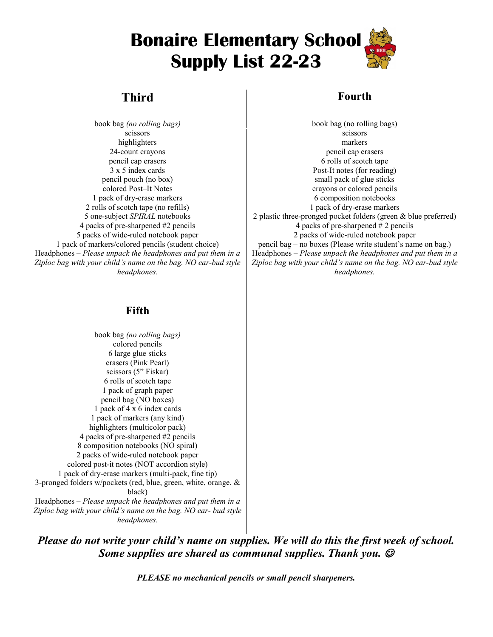# **Bonaire Elementary School Supply List 22-23**

## **Third Fourth**

scissors scissors scissors scissors scissors scissors scissors scissors scissors scissors scissors scissors sci highlighters markers 1 pack of dry-erase markers 6 composition notebooks 2 rolls of scotch tape (no refills) 1 pack of dry-erase markers 5 packs of wide-ruled notebook paper 2 packs of wide-ruled notebook paper Headphones – *Please unpack the headphones and put them in a Ziploc bag with your child's name on the bag. NO ear-bud style headphones.*

book bag *(no rolling bags)* book bag (no rolling bags) 24-count crayons pencil cap erasers pencil cap erasers and the set of scotch tape of scotch tape  $\sim$  6 rolls of scotch tape 3 x 5 index cards Post-It notes (for reading) pencil pouch (no box) small pack of glue sticks colored Post–It Notes crayons or colored pencils 5 one-subject *SPIRAL* notebooks 2 plastic three-pronged pocket folders (green & blue preferred)<br>4 packs of pre-sharpened #2 pencils<br>4 packs of pre-sharpened #2 pencils 4 packs of pre-sharpened  $# 2$  pencils 1 pack of markers/colored pencils (student choice) pencil bag – no boxes (Please write student's name on bag.) Headphones – *Please unpack the headphones and put them in a Ziploc bag with your child's name on the bag. NO ear-bud style headphones.*

### **Fifth**

book bag *(no rolling bags)* colored pencils 6 large glue sticks erasers (Pink Pearl) scissors (5" Fiskar) 6 rolls of scotch tape 1 pack of graph paper pencil bag (NO boxes) 1 pack of 4 x 6 index cards 1 pack of markers (any kind) highlighters (multicolor pack) 4 packs of pre-sharpened #2 pencils 8 composition notebooks (NO spiral) 2 packs of wide-ruled notebook paper colored post-it notes (NOT accordion style) 1 pack of dry-erase markers (multi-pack, fine tip) 3-pronged folders w/pockets (red, blue, green, white, orange, & black) Headphones – *Please unpack the headphones and put them in a Ziploc bag with your child's name on the bag. NO ear- bud style headphones.*

*Please do not write your child's name on supplies. We will do this the first week of school. Some supplies are shared as communal supplies. Thank you.* 

*PLEASE no mechanical pencils or small pencil sharpeners.*